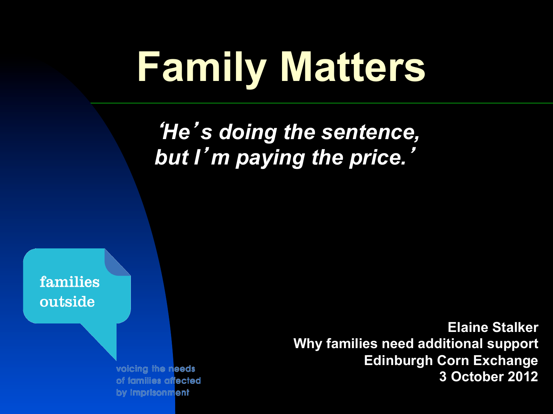# **Family Matters**

#### '*He*'*s doing the sentence, but I*'*m paying the price.*'

families outside

> voicing the needs of families affected by imprisonment

**Elaine Stalker Why families need additional support Edinburgh Corn Exchange 3 October 2012**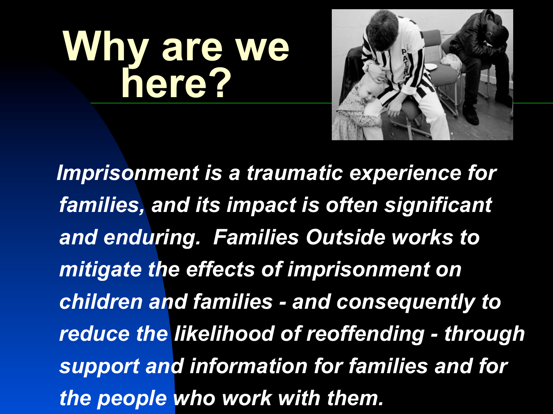# **Why are we here?**



 *Imprisonment is a traumatic experience for families, and its impact is often significant and enduring. Families Outside works to mitigate the effects of imprisonment on children and families - and consequently to reduce the likelihood of reoffending - through support and information for families and for the people who work with them.*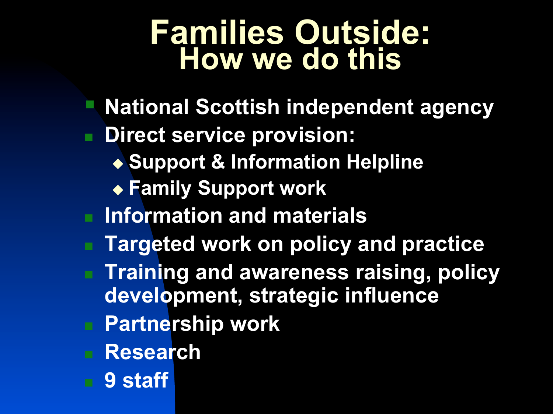#### **Families Outside: How we do this**

- § **National Scottish independent agency**
- **n** Direct service provision:
	- ◆ Support & Information Helpline
	- ◆ Family Support work
- **n** Information and materials
- **Targeted work on policy and practice**
- **n Training and awareness raising, policy development, strategic influence**
- <sup>n</sup> **Partnership work**
- <sup>n</sup> **Research**
- <sup>n</sup> **9 staff**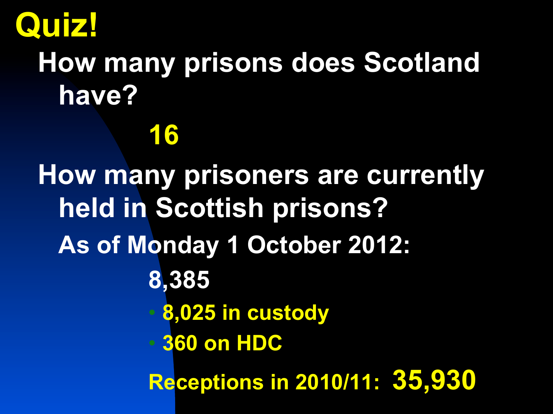

#### **How many prisons does Scotland have?**

#### **16**

**How many prisoners are currently held in Scottish prisons? As of Monday 1 October 2012: 8,385**  • **8,025 in custody**  • **360 on HDC Receptions in 2010/11: 35,930**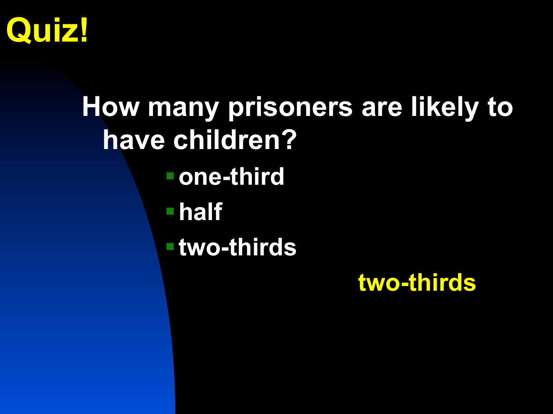

#### **How many prisoners are likely to have children?** §**one-third**  §**half**  §**two-thirds two-thirds**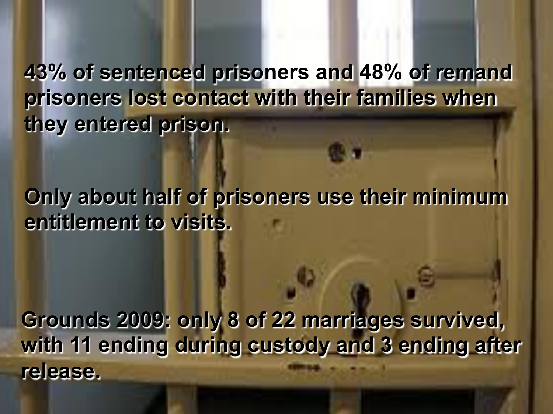**43% of sentenced prisoners and 48% of remand prisoners lost contact with their families when they entered prison.** 

**Only about half of prisoners use their minimum entitlement to visits.** 

**Grounds 2009: only 8 of 22 marriages survived, with 11 ending during custody and 3 ending after release.**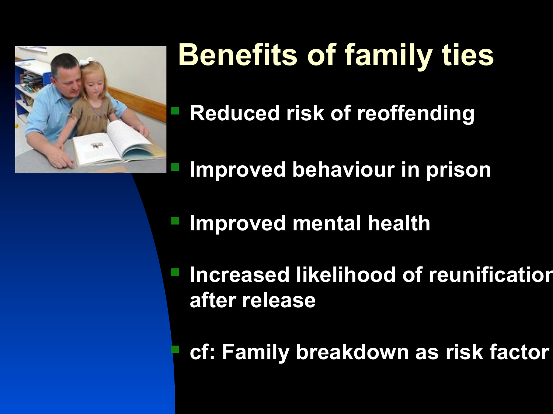

## **Benefits of family ties**

§ **Reduced risk of reoffending** 

§ **Improved behaviour in prison** 

**Improved mental health** 

§ **Increased likelihood of reunification after release** 

§ **cf: Family breakdown as risk factor**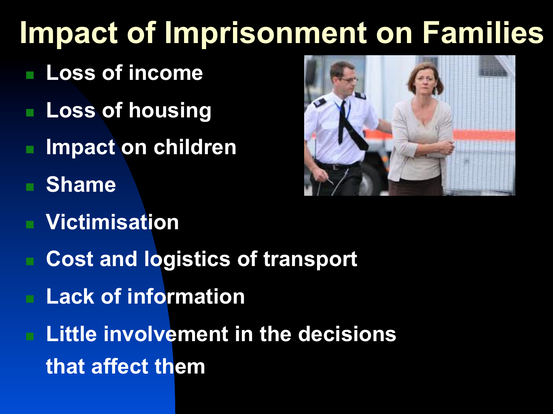## **Impact of Imprisonment on Families**

- <sup>n</sup> **Loss of income**
- **n** Loss of housing
- **Impact on children**
- <sup>n</sup> **Shame**
- **Victimisation**
- **Cost and logistics of transport**
- **Lack of information**
- **Little involvement in the decisions that affect them**

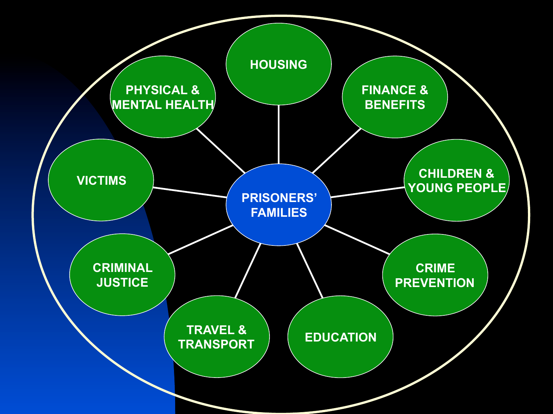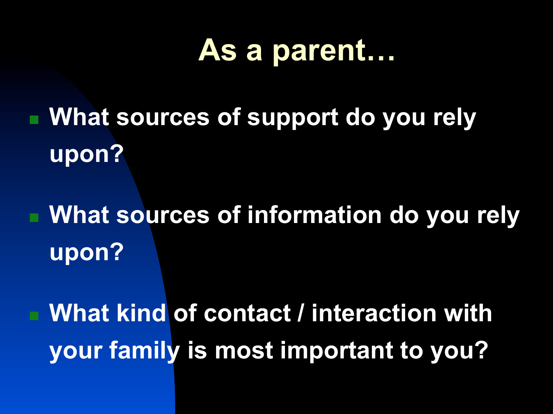#### **As a parent…**

- **n What sources of support do you rely upon?**
- What sources of information do you rely **upon?**
- **What kind of contact / interaction with your family is most important to you?**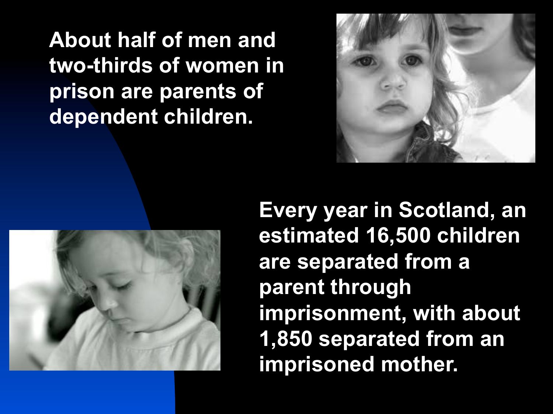**About half of men and two-thirds of women in prison are parents of dependent children.** 





**Every year in Scotland, an estimated 16,500 children are separated from a parent through imprisonment, with about 1,850 separated from an imprisoned mother.**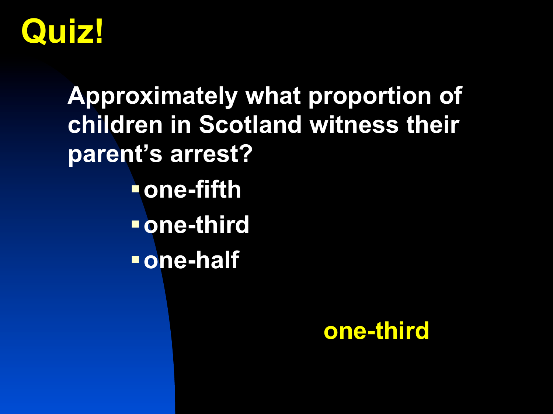

**Approximately what proportion of children in Scotland witness their parent's arrest?**  §**one-fifth**  §**one-third**  §**one-half** 

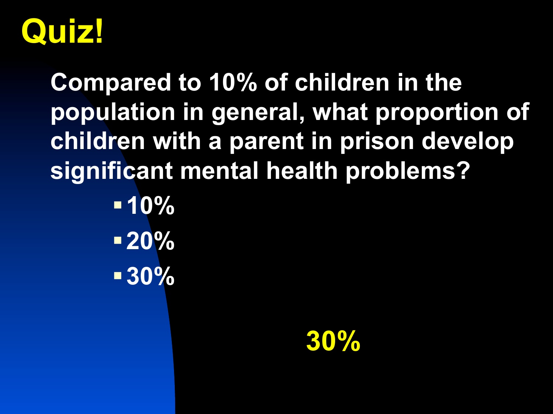

**Compared to 10% of children in the population in general, what proportion of children with a parent in prison develop significant mental health problems?** 

> §**10%**  §**20%**  §**30%**

> > **30%**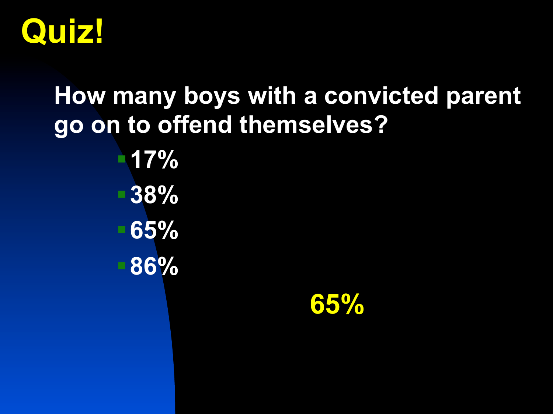

## **How many boys with a convicted parent go on to offend themselves?**  §**17%**  §**38%**  §**65%**  §**86%**

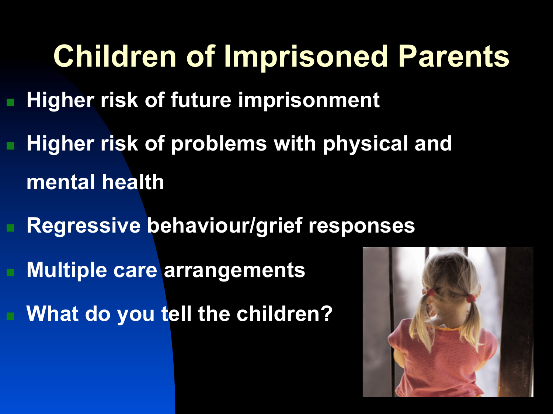### **Children of Imprisoned Parents**

- **Higher risk of future imprisonment**
- **Higher risk of problems with physical and mental health** 
	- **Regressive behaviour/grief responses Multiple care arrangements What do you tell the children?**

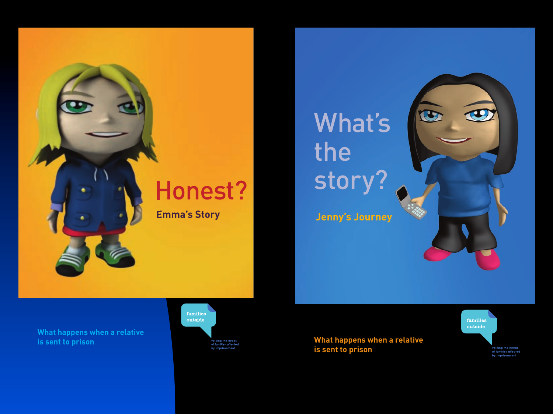

#### What's the story?

**Jenny's Journey**

**What happens when a relative is sent to prison**



**What happens when a relative is sent to prison**



voicing the needs<br>of families affected by imprisonment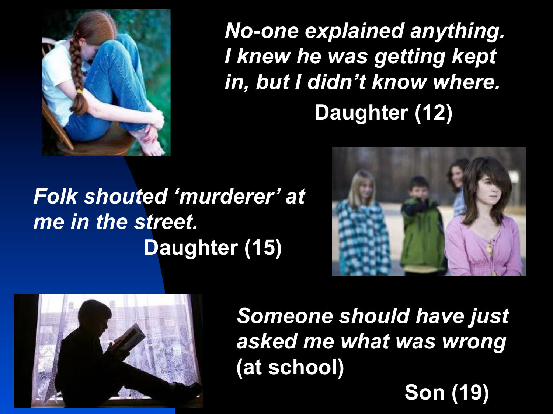

*No-one explained anything. I knew he was getting kept in, but I didn't know where.*  **Daughter (12)** 

#### *Folk shouted 'murderer' at me in the street.*   **Daughter (15)**





*Someone should have just asked me what was wrong*  **(at school)** 

 **Son (19)**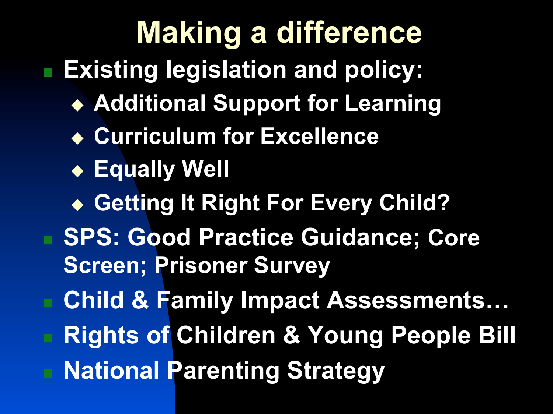## **Making a difference**

<sup>n</sup> **Existing legislation and policy:** 

- ◆ Additional Support for Learning
- ◆ Curriculum for Excellence
- <sup>u</sup> **Equally Well**
- ◆ Getting It Right For Every Child?
- **SPS: Good Practice Guidance; Core Screen; Prisoner Survey**
- Child & Family Impact Assessments...
- **Rights of Children & Young People Bill**
- <sup>n</sup> **National Parenting Strategy**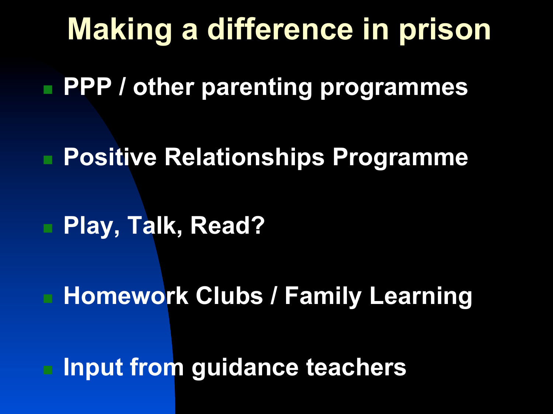#### **Making a difference in prison**

**n PPP / other parenting programmes** 

■ Positive Relationships Programme

■ Play, Talk, Read?

**Homework Clubs / Family Learning** 

**n Input from guidance teachers**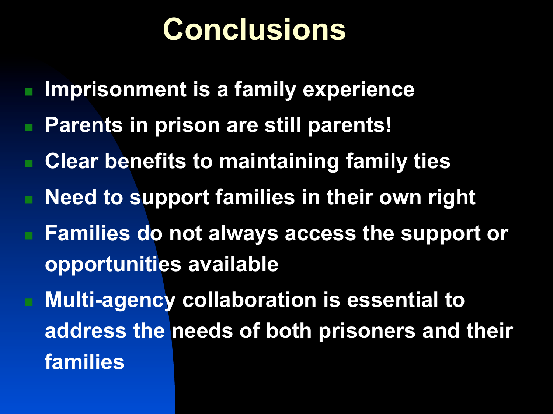#### **Conclusions**

- **n Imprisonment is a family experience**
- Parents in prison are still parents!
- Clear benefits to maintaining family ties
- **n Need to support families in their own right**
- Families do not always access the support or **opportunities available**
- Multi-agency collaboration is essential to **address the needs of both prisoners and their families**